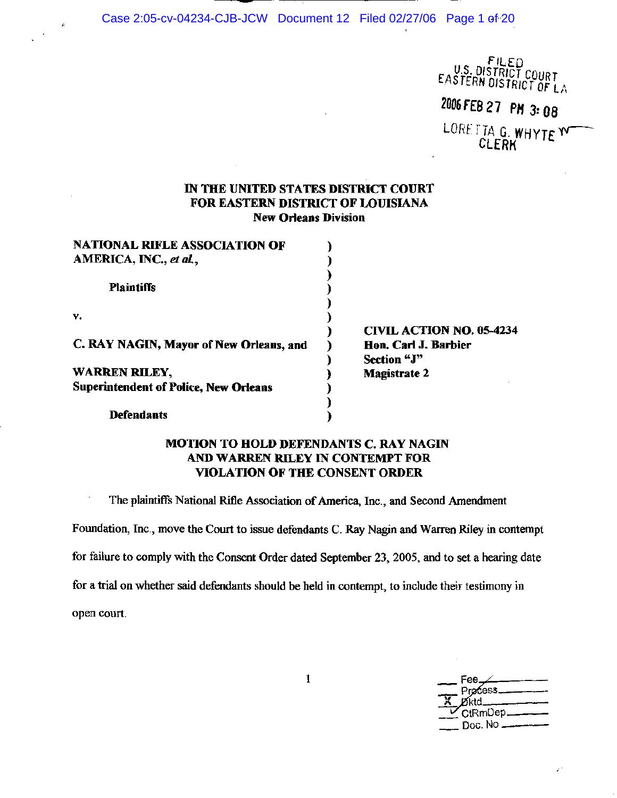Case 2:05-cv-04234-CJB-JCW Document 12 Filed 02/27/06 Page 1 of 20

FILED<br>U.S. DISTRICT COURT<br>EASTERN DISTRICT OF LA

2006 FEB 27 PM 3:08

LORETTA G. WHYTE W CLERK

## IN THE UNITED STATES DISTRICT COURT FOR EASTERN DISTRICT OF LOUISIANA **New Orleans Division**

| <b>NATIONAL RIFLE ASSOCIATION OF</b>         |                                     |
|----------------------------------------------|-------------------------------------|
| AMERICA, INC., et al.,                       |                                     |
| <b>Plaintiffs</b>                            |                                     |
| v.                                           |                                     |
|                                              | <b>CIVIL ACTION NO. 05-4234</b>     |
| C. RAY NAGIN, Mayor of New Orleans, and      | Hon. Carl J. Barbier<br>Section "J" |
| <b>WARREN RILEY,</b>                         | <b>Magistrate 2</b>                 |
| <b>Superintendent of Police, New Orleans</b> |                                     |
|                                              |                                     |
| <b>Defendants</b>                            |                                     |

## MOTION TO HOLD DEFENDANTS C. RAY NAGIN AND WARREN RILEY IN CONTEMPT FOR **VIOLATION OF THE CONSENT ORDER**

The plaintiffs National Rifle Association of America, Inc., and Second Amendment

Foundation, Inc., move the Court to issue defendants C. Ray Nagin and Warren Riley in contempt

for failure to comply with the Consent Order dated September 23, 2005, and to set a hearing date

for a trial on whether said defendants should be held in contempt, to include their testimony in

open court.

Fee. Pracess\_ CtRmDep\_ Doc. No -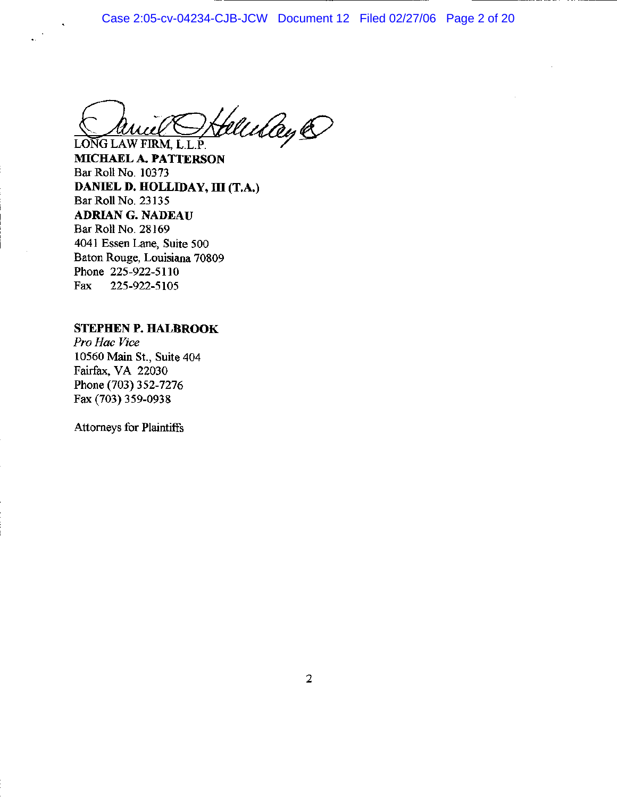Case 2:05-cv-04234-CJB-JCW Document 12 Filed 02/27/06 Page 2 of 20

Heleday @ LONG LAW FIRM, L.L.P.

MICHAEL A. PATTERSON Bar Roll No. 10373 DANIEL D. HOLLIDAY, III (T.A.) Bar Roll No. 23135 **ADRIAN G. NADEAU** Bar Roll No. 28169 4041 Essen Lane, Suite 500 Baton Rouge, Louisiana 70809 Phone 225-922-5110 Fax 225-922-5105

## **STEPHEN P. HALBROOK**

Pro Hac Vice 10560 Main St., Suite 404 Fairfax, VA 22030 Phone (703) 352-7276 Fax (703) 359-0938

**Attorneys for Plaintiffs**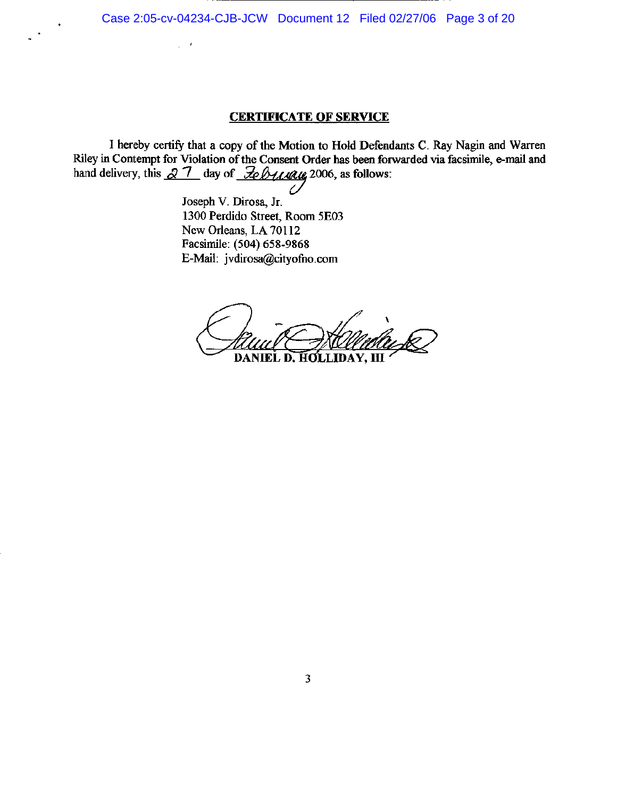## **CERTIFICATE OF SERVICE**

I hereby certify that a copy of the Motion to Hold Defendants C. Ray Nagin and Warren Riley in Contempt for Violation of the Consent Order has been forwarded via facsimile, e-mail and hand delivery, this  $\sqrt{2}$   $\sqrt{7}$  day of  $\sqrt{2}$ eb4444422006, as follows:

> Joseph V. Dirosa, Jr. 1300 Perdido Street, Room 5E03 New Orleans, LA 70112 Facsimile: (504) 658-9868 E-Mail: jvdirosa@cityofno.com

 $\sim$   $\epsilon$ l.

DANIEL D. HOLLIDAY, III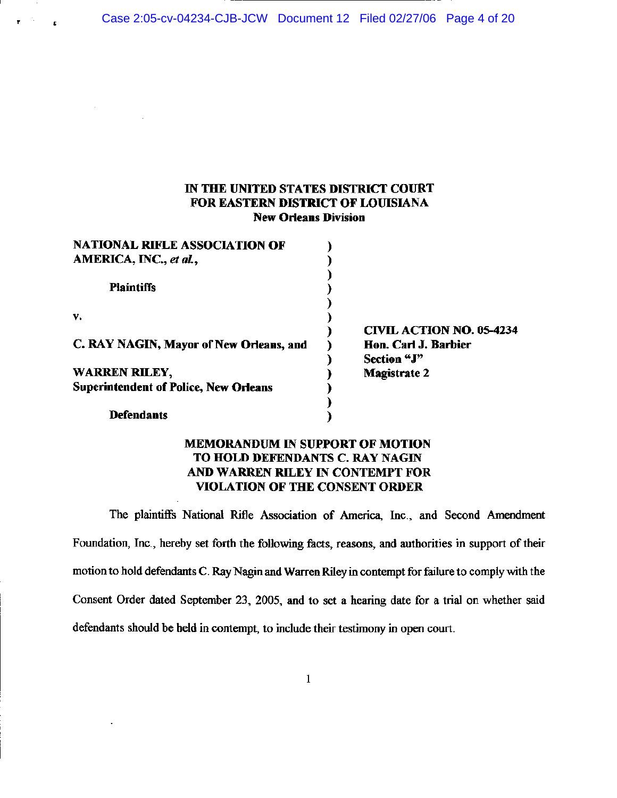Case 2:05-cv-04234-CJB-JCW Document 12 Filed 02/27/06 Page 4 of 20

## IN THE UNITED STATES DISTRICT COURT FOR EASTERN DISTRICT OF LOUISIANA **New Orleans Division**

| <b>NATIONAL RIFLE ASSOCIATION OF</b>         |                                 |
|----------------------------------------------|---------------------------------|
| AMERICA, INC., et al.,                       |                                 |
| <b>Plaintiffs</b>                            |                                 |
| v.                                           |                                 |
|                                              | <b>CIVIL ACTION NO. 05-4234</b> |
| C. RAY NAGIN, Mayor of New Orleans, and      | Hon. Carl J. Barbier            |
|                                              | Section "J"                     |
| <b>WARREN RILEY,</b>                         | <b>Magistrate 2</b>             |
| <b>Superintendent of Police, New Orleans</b> |                                 |
|                                              |                                 |
| Defendants                                   |                                 |

## **MEMORANDUM IN SUPPORT OF MOTION** TO HOLD DEFENDANTS C. RAY NAGIN AND WARREN RILEY IN CONTEMPT FOR **VIOLATION OF THE CONSENT ORDER**

The plaintiffs National Rifle Association of America, Inc., and Second Amendment Foundation, Inc., hereby set forth the following facts, reasons, and authorities in support of their motion to hold defendants C. Ray Nagin and Warren Riley in contempt for failure to comply with the Consent Order dated September 23, 2005, and to set a hearing date for a trial on whether said defendants should be held in contempt, to include their testimony in open court.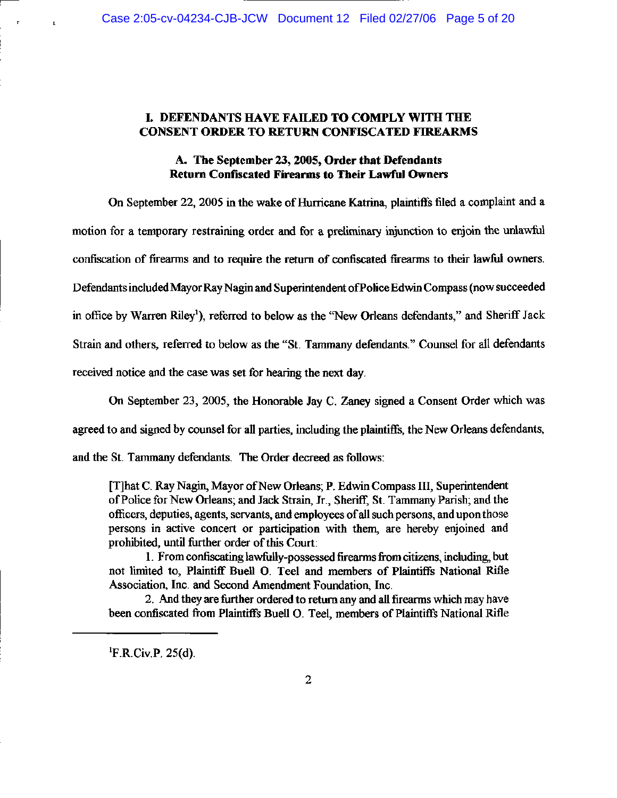## I. DEFENDANTS HAVE FAILED TO COMPLY WITH THE **CONSENT ORDER TO RETURN CONFISCATED FIREARMS**

## A. The September 23, 2005, Order that Defendants **Return Confiscated Firearms to Their Lawful Owners**

On September 22, 2005 in the wake of Hurricane Katrina, plaintiffs filed a complaint and a motion for a temporary restraining order and for a preliminary injunction to enjoin the unlawful confiscation of firearms and to require the return of confiscated firearms to their lawful owners. Defendants included Mayor Ray Nagin and Superintendent of Police Edwin Compass (now succeeded in office by Warren Riley<sup>1</sup>), referred to below as the "New Orleans defendants," and Sheriff Jack Strain and others, referred to below as the "St. Tammany defendants." Counsel for all defendants received notice and the case was set for hearing the next day.

On September 23, 2005, the Honorable Jay C. Zaney signed a Consent Order which was

agreed to and signed by counsel for all parties, including the plaintiffs, the New Orleans defendants,

and the St. Tammany defendants. The Order decreed as follows:

[T] hat C. Ray Nagin, Mayor of New Orleans; P. Edwin Compass III, Superintendent of Police for New Orleans; and Jack Strain, Jr., Sheriff, St. Tammany Parish; and the officers, deputies, agents, servants, and employees of all such persons, and upon those persons in active concert or participation with them, are hereby enjoined and prohibited, until further order of this Court:

1. From confiscating lawfully-possessed firearms from citizens, including, but not limited to, Plaintiff Buell O. Teel and members of Plaintiffs National Rifle Association, Inc. and Second Amendment Foundation, Inc.

2. And they are further ordered to return any and all firearms which may have been confiscated from Plaintiffs Buell O. Teel, members of Plaintiffs National Rifle

<sup>1</sup>F.R.Civ.P. 25(d).

 $\mathbf{r}$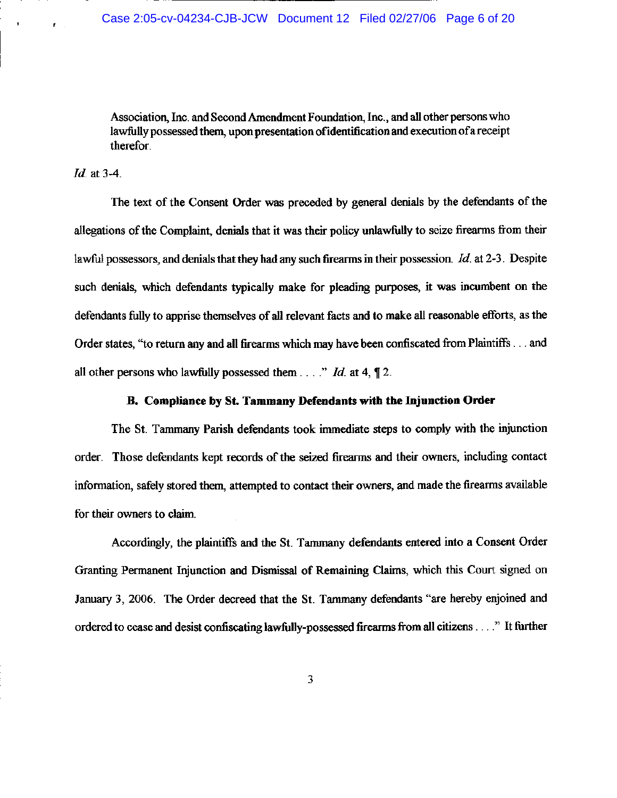Association, Inc. and Second Amendment Foundation, Inc., and all other persons who lawfully possessed them, upon presentation of identification and execution of a receipt therefor.

### *Id.* at 3-4.

 $\mathbf{r}$  .

The text of the Consent Order was preceded by general denials by the defendants of the allegations of the Complaint, denials that it was their policy unlawfully to seize firearms from their lawful possessors, and denials that they had any such firearms in their possession.  $Id$  at 2-3. Despite such denials, which defendants typically make for pleading purposes, it was incumbent on the defendants fully to apprise themselves of all relevant facts and to make all reasonable efforts, as the Order states, "to return any and all firearms which may have been confiscated from Plaintiffs... and all other persons who lawfully possessed them  $\ldots$  " Id. at 4,  $\P$  2.

#### B. Compliance by St. Tammany Defendants with the Injunction Order

The St. Tammany Parish defendants took immediate steps to comply with the injunction order. Those defendants kept records of the seized firearms and their owners, including contact information, safely stored them, attempted to contact their owners, and made the firearms available for their owners to claim.

Accordingly, the plaintiffs and the St. Tammany defendants entered into a Consent Order Granting Permanent Injunction and Dismissal of Remaining Claims, which this Court signed on January 3, 2006. The Order decreed that the St. Tammany defendants "are hereby enjoined and ordered to cease and desist confiscating lawfully-possessed firearms from all citizens . . . ." It further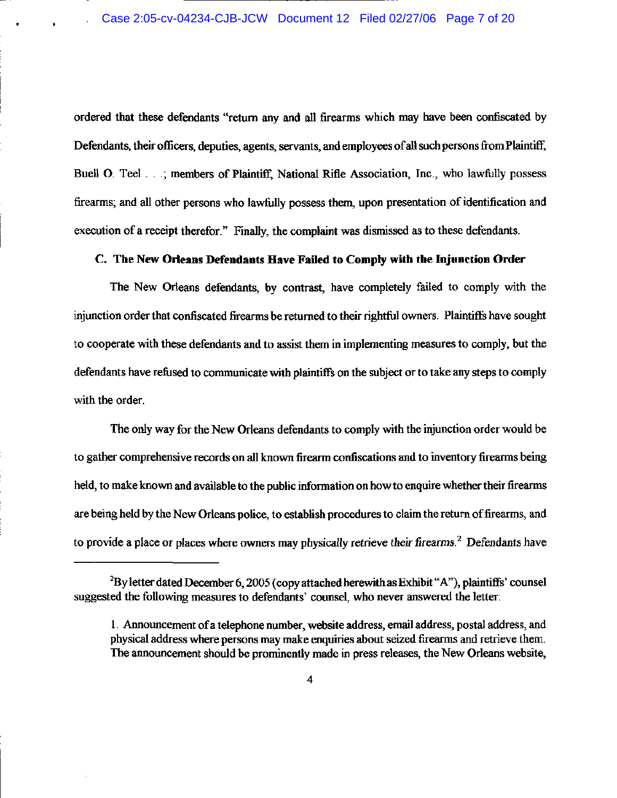ordered that these defendants "return any and all firearms which may have been confiscated by Defendants, their officers, deputies, agents, servants, and employees of all such persons from Plaintiff, Buell O. Teel . . .; members of Plaintiff, National Rifle Association, Inc., who lawfully possess firearms; and all other persons who lawfully possess them, upon presentation of identification and execution of a receipt therefor." Finally, the complaint was dismissed as to these defendants.

## C. The New Orleans Defendants Have Failed to Comply with the Injunction Order

The New Orleans defendants, by contrast, have completely failed to comply with the injunction order that confiscated firearms be returned to their rightful owners. Plaintiffs have sought to cooperate with these defendants and to assist them in implementing measures to comply, but the defendants have refused to communicate with plaintiffs on the subject or to take any steps to comply with the order.

The only way for the New Orleans defendants to comply with the injunction order would be to gather comprehensive records on all known firearm confiscations and to inventory firearms being held, to make known and available to the public information on how to enquire whether their firearms are being held by the New Orleans police, to establish procedures to claim the return of firearms, and to provide a place or places where owners may physically retrieve their firearms.<sup>2</sup> Defendants have

<sup>&</sup>lt;sup>2</sup>By letter dated December 6, 2005 (copy attached herewith as Exhibit "A"), plaintiffs' counsel suggested the following measures to defendants' counsel, who never answered the letter:

<sup>1.</sup> Announcement of a telephone number, website address, email address, postal address, and physical address where persons may make enquiries about seized firearms and retrieve them. The announcement should be prominently made in press releases, the New Orleans website,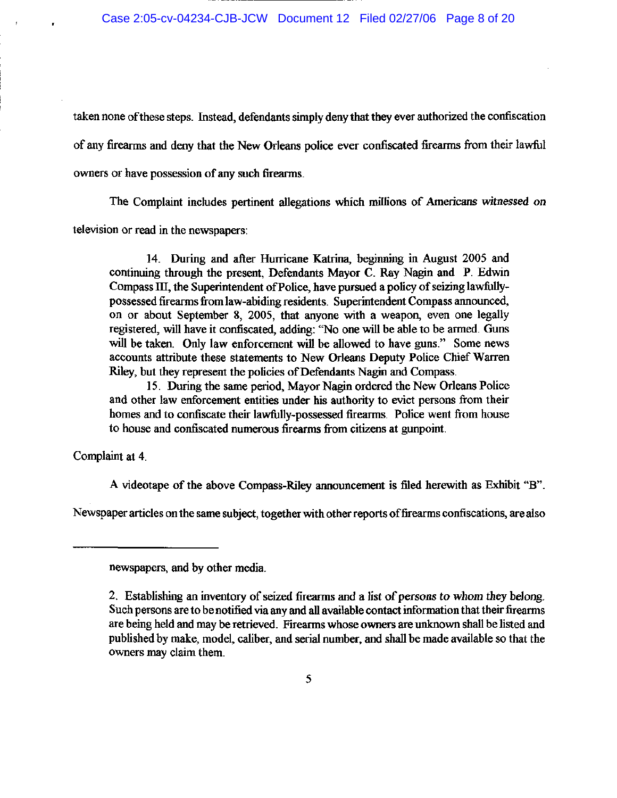taken none of these steps. Instead, defendants simply deny that they ever authorized the confiscation of any firearms and deny that the New Orleans police ever confiscated firearms from their lawful owners or have possession of any such firearms.

The Complaint includes pertinent allegations which millions of Americans witnessed on television or read in the newspapers:

14. During and after Hurricane Katrina, beginning in August 2005 and continuing through the present, Defendants Mayor C. Ray Nagin and P. Edwin Compass III, the Superintendent of Police, have pursued a policy of seizing lawfullypossessed firearms from law-abiding residents. Superintendent Compass announced, on or about September 8, 2005, that anyone with a weapon, even one legally registered, will have it confiscated, adding: "No one will be able to be armed. Guns will be taken. Only law enforcement will be allowed to have guns." Some news accounts attribute these statements to New Orleans Deputy Police Chief Warren Riley, but they represent the policies of Defendants Nagin and Compass.

15. During the same period, Mayor Nagin ordered the New Orleans Police and other law enforcement entities under his authority to evict persons from their homes and to confiscate their lawfully-possessed firearms. Police went from house to house and confiscated numerous firearms from citizens at gunpoint.

Complaint at 4.

A videotape of the above Compass-Riley announcement is filed herewith as Exhibit "B".

Newspaper articles on the same subject, together with other reports of firearms confiscations, are also

newspapers, and by other media.

<sup>2.</sup> Establishing an inventory of seized firearms and a list of persons to whom they belong. Such persons are to be notified via any and all available contact information that their firearms are being held and may be retrieved. Firearms whose owners are unknown shall be listed and published by make, model, caliber, and serial number, and shall be made available so that the owners may claim them.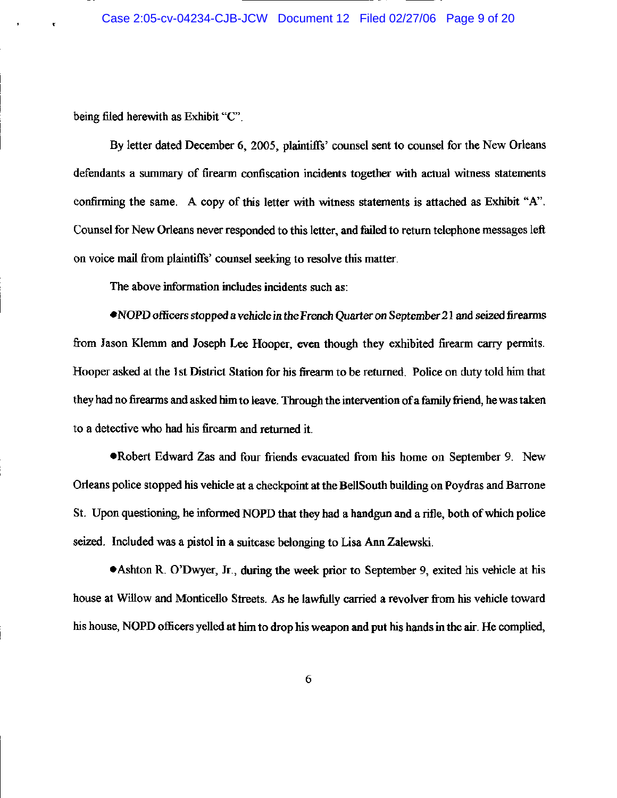## Case 2:05-cv-04234-CJB-JCW Document 12 Filed 02/27/06 Page 9 of 20

being filed herewith as Exhibit "C".

By letter dated December 6, 2005, plaintiffs' counsel sent to counsel for the New Orleans defendants a summary of firearm confiscation incidents together with actual witness statements confirming the same. A copy of this letter with witness statements is attached as Exhibit "A". Counsel for New Orleans never responded to this letter, and failed to return telephone messages left on voice mail from plaintiffs' counsel seeking to resolve this matter.

The above information includes incidents such as:

• NOPD officers stopped a vehicle in the French Quarter on September 21 and seized firearms from Jason Klemm and Joseph Lee Hooper, even though they exhibited firearm carry permits. Hooper asked at the 1st District Station for his firearm to be returned. Police on duty told him that they had no firearms and asked him to leave. Through the intervention of a family friend, he was taken to a detective who had his firearm and returned it.

. Robert Edward Zas and four friends evacuated from his home on September 9. New Orleans police stopped his vehicle at a checkpoint at the BellSouth building on Poydras and Barrone St. Upon questioning, he informed NOPD that they had a handgun and a rifle, both of which police seized. Included was a pistol in a suitcase belonging to Lisa Ann Zalewski.

• Ashton R. O'Dwyer, Jr., during the week prior to September 9, exited his vehicle at his house at Willow and Monticello Streets. As he lawfully carried a revolver from his vehicle toward his house, NOPD officers yelled at him to drop his weapon and put his hands in the air. He complied,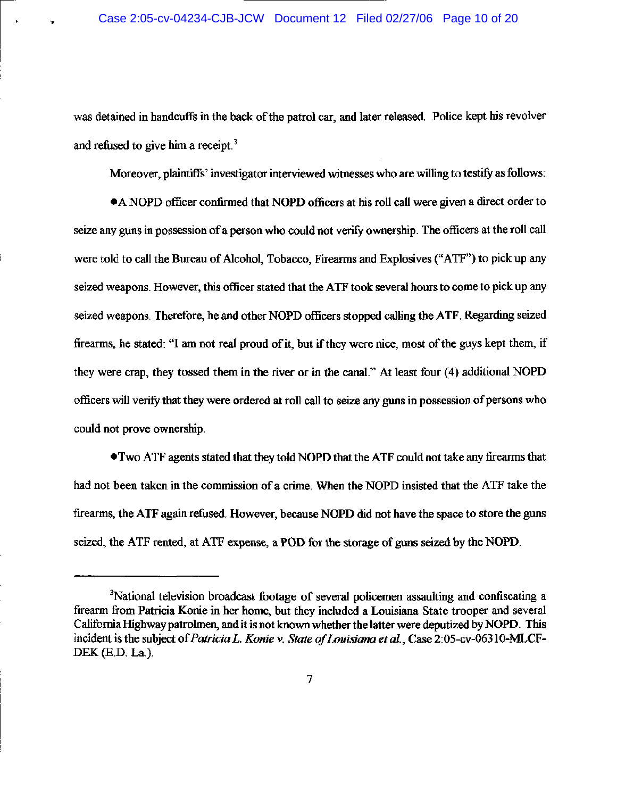was detained in handcuffs in the back of the patrol car, and later released. Police kept his revolver and refused to give him a receipt.<sup>3</sup>

Moreover, plaintiffs' investigator interviewed witnesses who are willing to testify as follows:

• A NOPD officer confirmed that NOPD officers at his roll call were given a direct order to seize any guns in possession of a person who could not verify ownership. The officers at the roll call were told to call the Bureau of Alcohol, Tobacco, Firearms and Explosives ("ATF") to pick up any seized weapons. However, this officer stated that the ATF took several hours to come to pick up any seized weapons. Therefore, he and other NOPD officers stopped calling the ATF. Regarding seized firearms, he stated: "I am not real proud of it, but if they were nice, most of the guys kept them, if they were crap, they tossed them in the river or in the canal." At least four (4) additional NOPD officers will verify that they were ordered at roll call to seize any guns in possession of persons who could not prove ownership.

• Two ATF agents stated that they told NOPD that the ATF could not take any firearms that had not been taken in the commission of a crime. When the NOPD insisted that the ATF take the firearms, the ATF again refused. However, because NOPD did not have the space to store the guns seized, the ATF rented, at ATF expense, a POD for the storage of guns seized by the NOPD.

<sup>&</sup>lt;sup>3</sup>National television broadcast footage of several policemen assaulting and confiscating a firearm from Patricia Konie in her home, but they included a Louisiana State trooper and several California Highway patrolmen, and it is not known whether the latter were deputized by NOPD. This incident is the subject of Patricia L. Konie v. State of Louisiana et al., Case 2:05-cv-06310-MLCF-DEK (E.D. La.).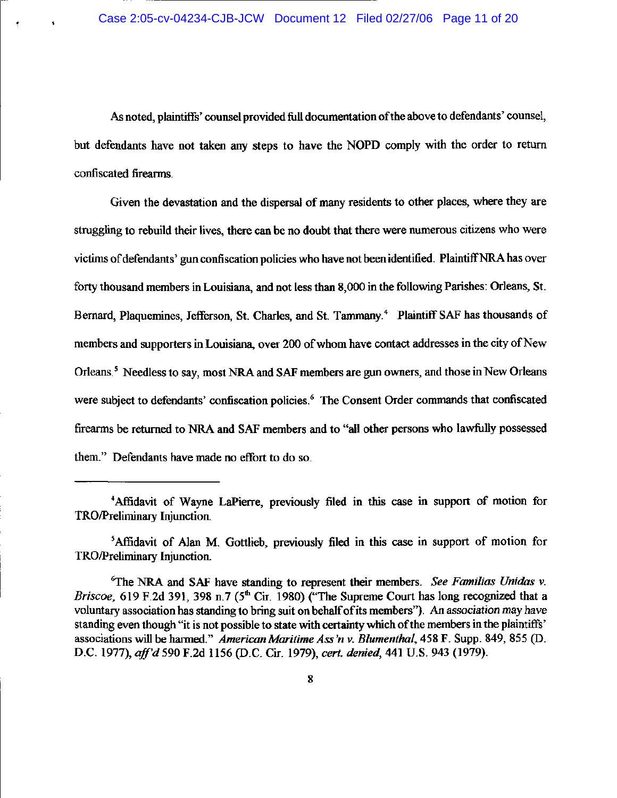As noted, plaintiffs' counsel provided full documentation of the above to defendants' counsel, but defendants have not taken any steps to have the NOPD comply with the order to return confiscated firearms.

Given the devastation and the dispersal of many residents to other places, where they are struggling to rebuild their lives, there can be no doubt that there were numerous citizens who were victims of defendants' gun confiscation policies who have not been identified. Plaintiff NRA has over forty thousand members in Louisiana, and not less than 8,000 in the following Parishes: Orleans, St. Bernard, Plaquemines, Jefferson, St. Charles, and St. Tammany.<sup>4</sup> Plaintiff SAF has thousands of members and supporters in Louisiana, over 200 of whom have contact addresses in the city of New Orleans.<sup>5</sup> Needless to say, most NRA and SAF members are gun owners, and those in New Orleans were subject to defendants' confiscation policies.<sup>6</sup> The Consent Order commands that confiscated firearms be returned to NRA and SAF members and to "all other persons who lawfully possessed them." Defendants have made no effort to do so.

<sup>&</sup>lt;sup>4</sup>Affidavit of Wayne LaPierre, previously filed in this case in support of motion for TRO/Preliminary Injunction.

<sup>&</sup>lt;sup>5</sup>Affidavit of Alan M. Gottlieb, previously filed in this case in support of motion for TRO/Preliminary Injunction.

<sup>&</sup>lt;sup>6</sup>The NRA and SAF have standing to represent their members. See Familias Unidas  $v$ . Briscoe, 619 F.2d 391, 398 n.7 (5<sup>th</sup> Cir. 1980) ("The Supreme Court has long recognized that a voluntary association has standing to bring suit on behalf of its members"). An association may have standing even though "it is not possible to state with certainty which of the members in the plaintiffs' associations will be harmed." American Maritime Ass'n v. Blumenthal, 458 F. Supp. 849, 855 (D. D.C. 1977), aff'd 590 F.2d 1156 (D.C. Cir. 1979), cert. denied, 441 U.S. 943 (1979).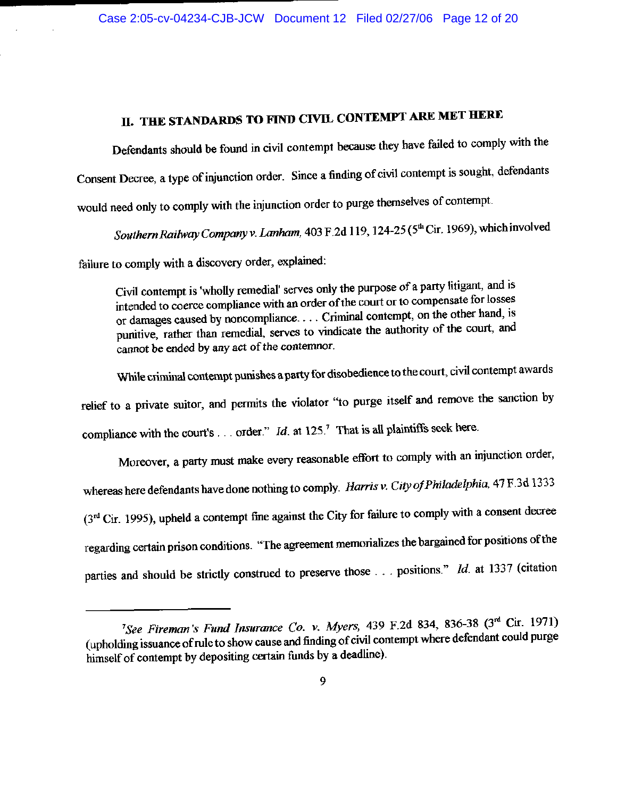## II. THE STANDARDS TO FIND CIVIL CONTEMPT ARE MET HERE

Defendants should be found in civil contempt because they have failed to comply with the Consent Decree, a type of injunction order. Since a finding of civil contempt is sought, defendants would need only to comply with the injunction order to purge themselves of contempt.

Southern Railway Company v. Lanham, 403 F.2d 119, 124-25 (5th Cir. 1969), which involved

failure to comply with a discovery order, explained:

Civil contempt is 'wholly remedial' serves only the purpose of a party litigant, and is intended to coerce compliance with an order of the court or to compensate for losses or damages caused by noncompliance.... Criminal contempt, on the other hand, is punitive, rather than remedial, serves to vindicate the authority of the court, and cannot be ended by any act of the contemnor.

While criminal contempt punishes a party for disobedience to the court, civil contempt awards relief to a private suitor, and permits the violator "to purge itself and remove the sanction by compliance with the court's . . . order." Id. at  $125$ ." That is all plaintiffs seek here.

Moreover, a party must make every reasonable effort to comply with an injunction order, whereas here defendants have done nothing to comply. Harris v. City of Philadelphia, 47 F.3d 1333 (3rd Cir. 1995), upheld a contempt fine against the City for failure to comply with a consent decree regarding certain prison conditions. "The agreement memorializes the bargained for positions of the parties and should be strictly construed to preserve those ... positions."  $Id$  at 1337 (citation

<sup>&</sup>lt;sup>7</sup>See Fireman's Fund Insurance Co. v. Myers, 439 F.2d 834, 836-38 (3<sup>rd</sup> Cir. 1971) (upholding issuance of rule to show cause and finding of civil contempt where defendant could purge himself of contempt by depositing certain funds by a deadline).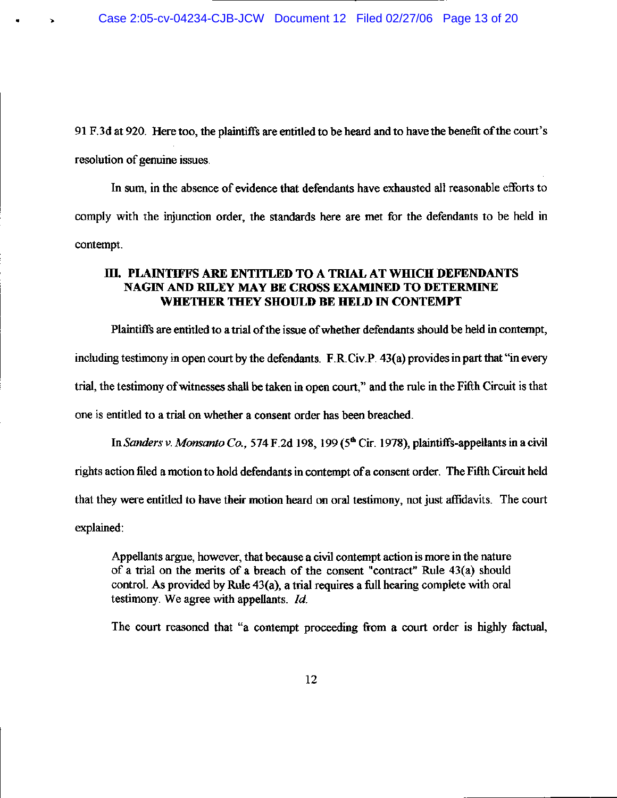91 F.3d at 920. Here too, the plaintiffs are entitled to be heard and to have the benefit of the court's resolution of genuine issues.

In sum, in the absence of evidence that defendants have exhausted all reasonable efforts to comply with the injunction order, the standards here are met for the defendants to be held in contempt.

## III. PLAINTIFFS ARE ENTITLED TO A TRIAL AT WHICH DEFENDANTS NAGIN AND RILEY MAY BE CROSS EXAMINED TO DETERMINE WHETHER THEY SHOULD BE HELD IN CONTEMPT

Plaintiffs are entitled to a trial of the issue of whether defendants should be held in contempt, including testimony in open court by the defendants. F.R.Civ.P. 43(a) provides in part that "in every trial, the testimony of witnesses shall be taken in open court," and the rule in the Fifth Circuit is that one is entitled to a trial on whether a consent order has been breached.

In Sanders v. Monsanto Co., 574 F.2d 198, 199 ( $5<sup>th</sup>$  Cir. 1978), plaintiffs-appellants in a civil rights action filed a motion to hold defendants in contempt of a consent order. The Fifth Circuit held that they were entitled to have their motion heard on oral testimony, not just affidavits. The court explained:

Appellants argue, however, that because a civil contempt action is more in the nature of a trial on the merits of a breach of the consent "contract" Rule 43(a) should control. As provided by Rule 43(a), a trial requires a full hearing complete with oral testimony. We agree with appellants. Id.

The court reasoned that "a contempt proceeding from a court order is highly factual,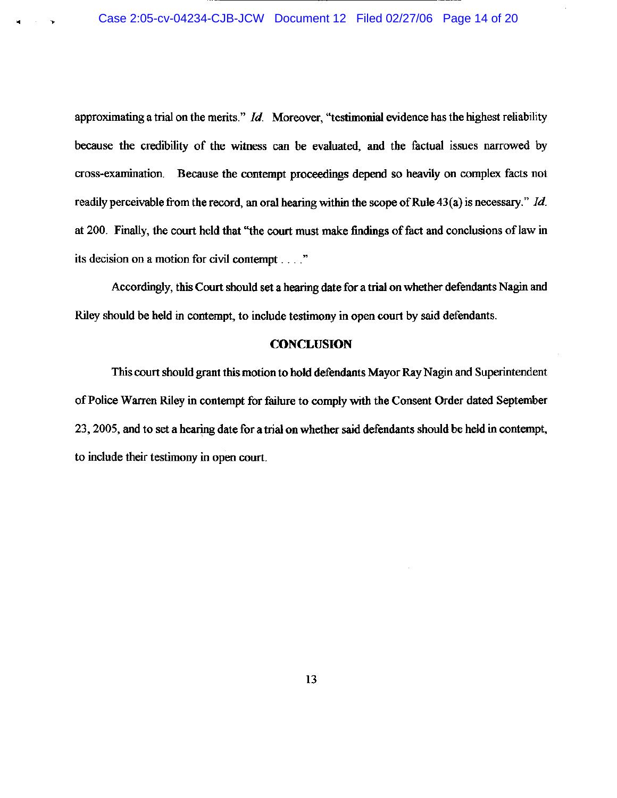approximating a trial on the merits."  $Id$ . Moreover, "testimonial evidence has the highest reliability because the credibility of the witness can be evaluated, and the factual issues narrowed by cross-examination. Because the contempt proceedings depend so heavily on complex facts not readily perceivable from the record, an oral hearing within the scope of Rule  $43(a)$  is necessary." Id. at 200. Finally, the court held that "the court must make findings of fact and conclusions of law in its decision on a motion for civil contempt . . . ."

Accordingly, this Court should set a hearing date for a trial on whether defendants Nagin and Riley should be held in contempt, to include testimony in open court by said defendants.

## **CONCLUSION**

This court should grant this motion to hold defendants Mayor Ray Nagin and Superintendent of Police Warren Riley in contempt for failure to comply with the Consent Order dated September 23, 2005, and to set a hearing date for a trial on whether said defendants should be held in contempt, to include their testimony in open court.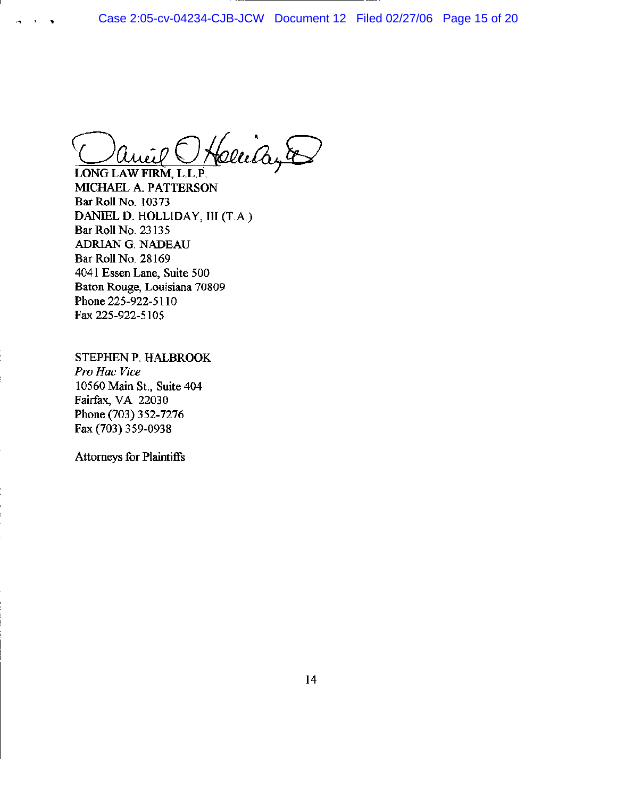Cludyte

LONG LAW FIRM, L.L.P. MICHAEL A. PATTERSON Bar Roll No. 10373 DANIEL D. HOLLIDAY, III (T.A.) Bar Roll No. 23135 ADRIAN G. NADEAU Bar Roll No. 28169 4041 Essen Lane, Suite 500 Baton Rouge, Louisiana 70809 Phone 225-922-5110 Fax 225-922-5105

STEPHEN P. HALBROOK Pro Hac Vice 10560 Main St., Suite 404 Fairfax, VA 22030 Phone (703) 352-7276 Fax (703) 359-0938

**Attorneys for Plaintiffs**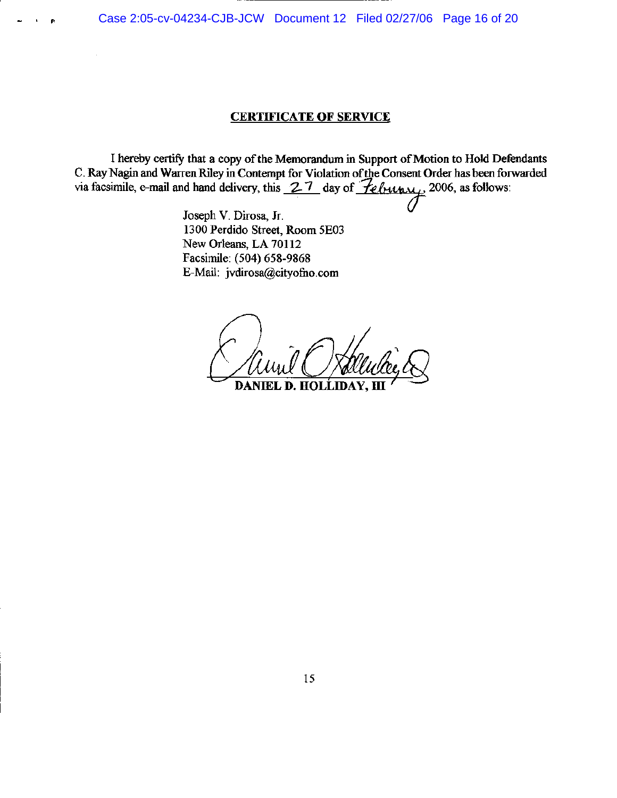Case 2:05-cv-04234-CJB-JCW Document 12 Filed 02/27/06 Page 16 of 20

## **CERTIFICATE OF SERVICE**

I hereby certify that a copy of the Memorandum in Support of Motion to Hold Defendants C. Ray Nagin and Warren Riley in Contempt for Violation of the Consent Order has been forwarded via facsimile, e-mail and hand delivery, this  $27$  day of  $\overline{f}$ ebun $\overline{x}$  2006, as follows:

> Joseph V. Dirosa, Jr. 1300 Perdido Street, Room 5E03 New Orleans, LA 70112 Facsimile: (504) 658-9868 E-Mail: jvdirosa@cityofno.com

**DANIEI** D. HOL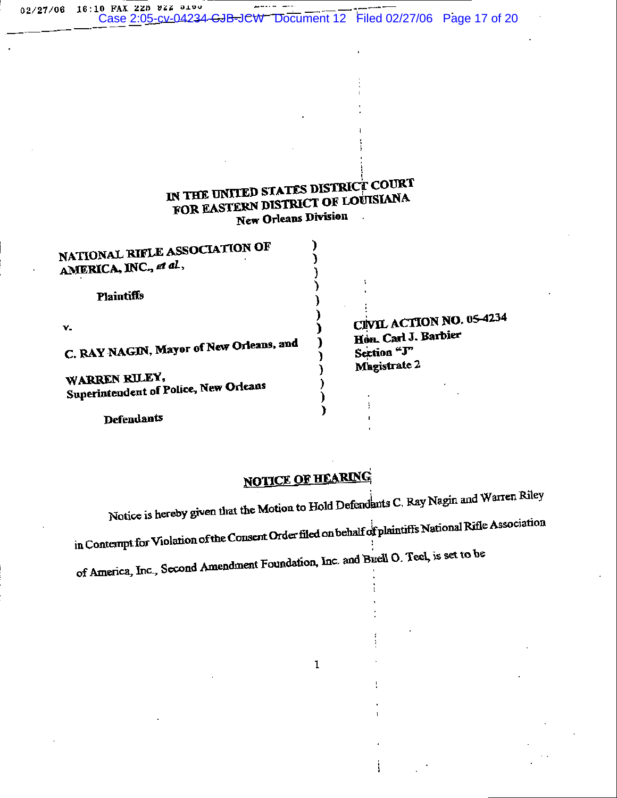02/27/06 16:10 FAX 225 922 5100 Case 2:05-cv-04234-CJB-JCW Document 12 Filed 02/27/06 Page 17 of 20

## IN THE UNITED STATES DISTRICT COURT FOR EASTERN DISTRICT OF LOUISIANA **New Orleans Division**  $\mathbb{Z}_2$

| NATIONAL RIFLE ASSOCIATION OF<br>AMERICA, INC., et al.,                    |                                                                                 |
|----------------------------------------------------------------------------|---------------------------------------------------------------------------------|
| <b>Plaintiffs</b>                                                          |                                                                                 |
| $\mathbf{v}$ .<br>C. RAY NAGIN, Mayor of New Orleans, and<br>WARREN RILEY. | CIVIL ACTION NO. 05-4234<br>Hon. Carl J. Barbier<br>Section "J"<br>Magistrate 2 |
| Superintendent of Police, New Orleans                                      |                                                                                 |

Defendants

**NOTICE OF HEARING** 

Notice is hereby given that the Motion to Hold Defendants C. Ray Nagin and Warren Riley in Contempt for Violation of the Consent Order filed on behalf of plaintiffs National Rifle Association of America, Inc., Second Amendment Foundation, Inc. and Buell O. Teel, is set to be

 $\mathbf{1}$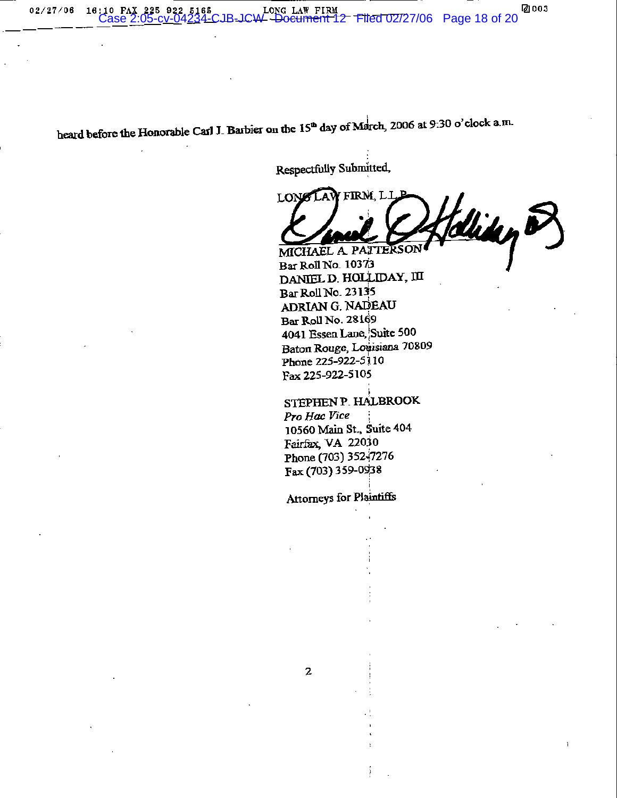heard before the Honorable Carl J. Barbier on the  $15<sup>th</sup>$  day of March, 2006 at 9:30 o'clock a.m.

Respectfully Submitted,

firm li LON foliday P MICHAEL A PATTERSON

Bar Roll No. 10373 DANIEL D. HOLLIDAY, III Bar Roll No. 23135 ADRIAN G. NADEAU Bar Roll No. 28169 4041 Essen Lane, Suite 500 Baton Rouge, Louisiana 70809 Phone 225-922-5110 Fax 225-922-5105

STEPHEN P. HALBROOK Pro Hac Vice 10560 Main St., Suite 404 Fairfax, VA 22030 Phone (703) 352-7276 Fax (703) 359-0938

Attorneys for Plaintiffs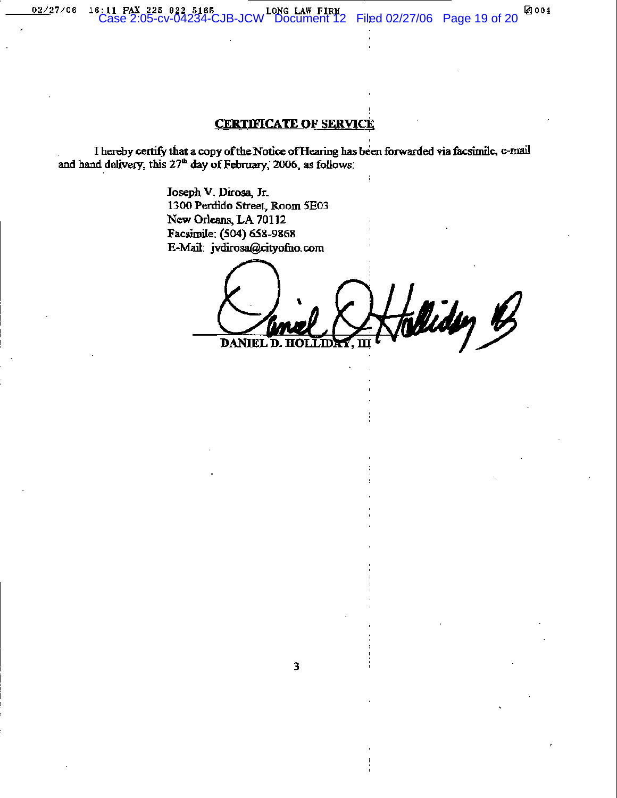$02/27/06$ 

## **CERTIFICATE OF SERVICE**

I hereby certify that a copy of the Notice of Hearing has been forwarded via facsimile, e-mail and hand delivery, this  $27<sup>th</sup>$  day of February, 2006, as follows:

 $\overline{\mathbf{3}}$ 

Joseph V. Dirosa, Jr. 1300 Perdido Street, Room 5E03 New Orleans, LA 70112 Facsimile: (504) 658-9868 E-Mail: jvdirosa@cityofno.com

lliden B DANIEL D.